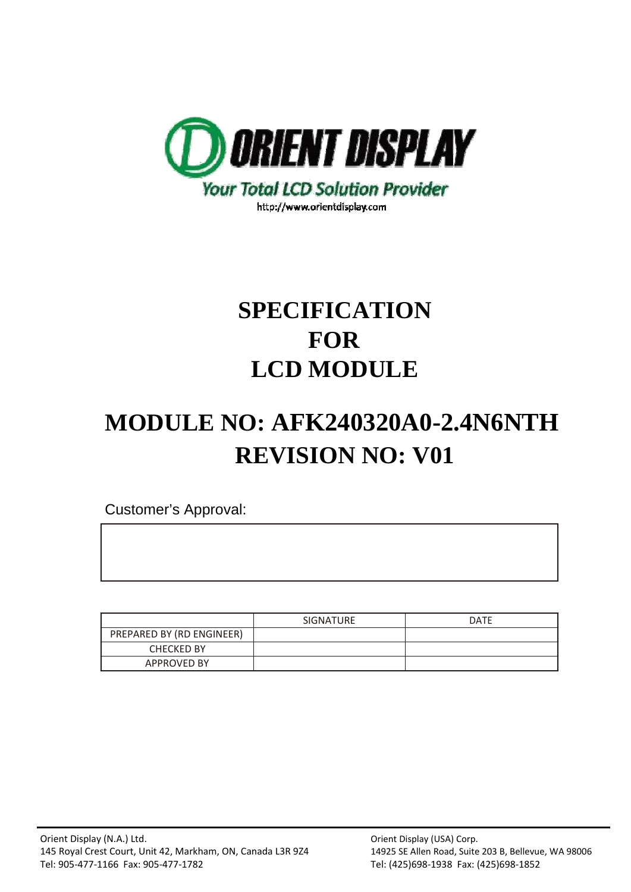

# **SPECIFICATION FOR LCD MODULE**

# **MODULE NO: AFK240320A0-2.4N6NTH REVISION NO: V01**

Customer's Approval:

|                           | <b>SIGNATURE</b> | <b>DATE</b> |
|---------------------------|------------------|-------------|
| PREPARED BY (RD ENGINEER) |                  |             |
| <b>CHECKED BY</b>         |                  |             |
| <b>APPROVED BY</b>        |                  |             |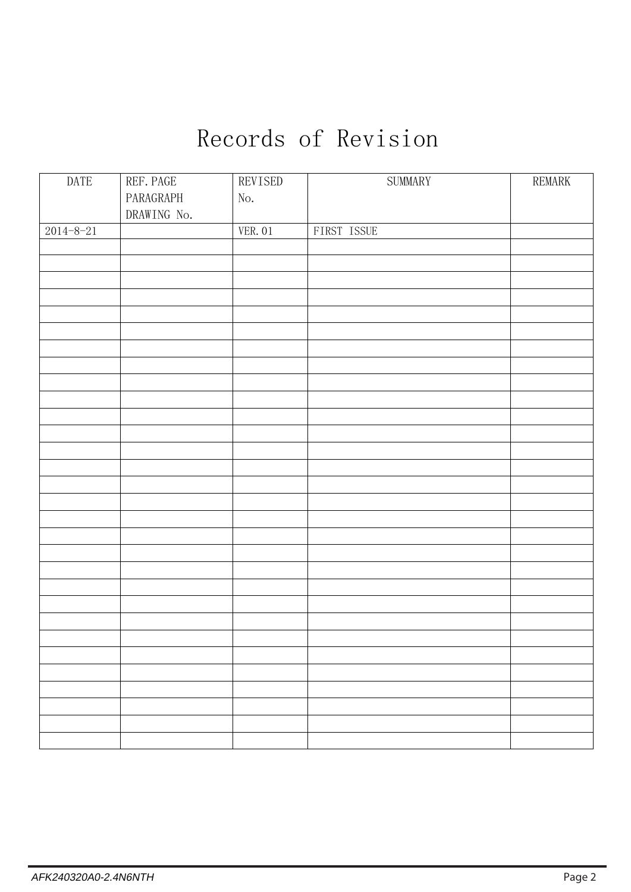# Records of Revision

| $\mathop{\mathrm{DATE}}$ | REF. PAGE   | REVISED | SUMMARY     | REMARK |
|--------------------------|-------------|---------|-------------|--------|
|                          | PARAGRAPH   | No.     |             |        |
|                          | DRAWING No. |         |             |        |
| $2014 - 8 - 21$          |             | VER. 01 | FIRST ISSUE |        |
|                          |             |         |             |        |
|                          |             |         |             |        |
|                          |             |         |             |        |
|                          |             |         |             |        |
|                          |             |         |             |        |
|                          |             |         |             |        |
|                          |             |         |             |        |
|                          |             |         |             |        |
|                          |             |         |             |        |
|                          |             |         |             |        |
|                          |             |         |             |        |
|                          |             |         |             |        |
|                          |             |         |             |        |
|                          |             |         |             |        |
|                          |             |         |             |        |
|                          |             |         |             |        |
|                          |             |         |             |        |
|                          |             |         |             |        |
|                          |             |         |             |        |
|                          |             |         |             |        |
|                          |             |         |             |        |
|                          |             |         |             |        |
|                          |             |         |             |        |
|                          |             |         |             |        |
|                          |             |         |             |        |
|                          |             |         |             |        |
|                          |             |         |             |        |
|                          |             |         |             |        |
|                          |             |         |             |        |
|                          |             |         |             |        |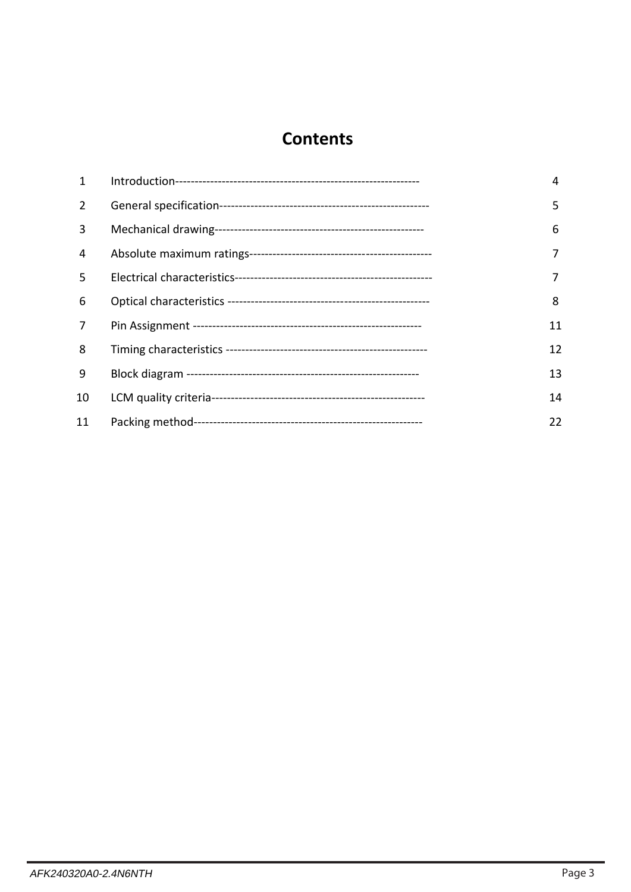### **Contents**

| 1  | 4  |
|----|----|
| 2  | 5  |
| 3  | 6  |
| 4  | 7  |
| 5  |    |
| 6  | 8  |
| 7  | 11 |
| 8  | 12 |
| 9  | 13 |
| 10 | 14 |
| 11 | 22 |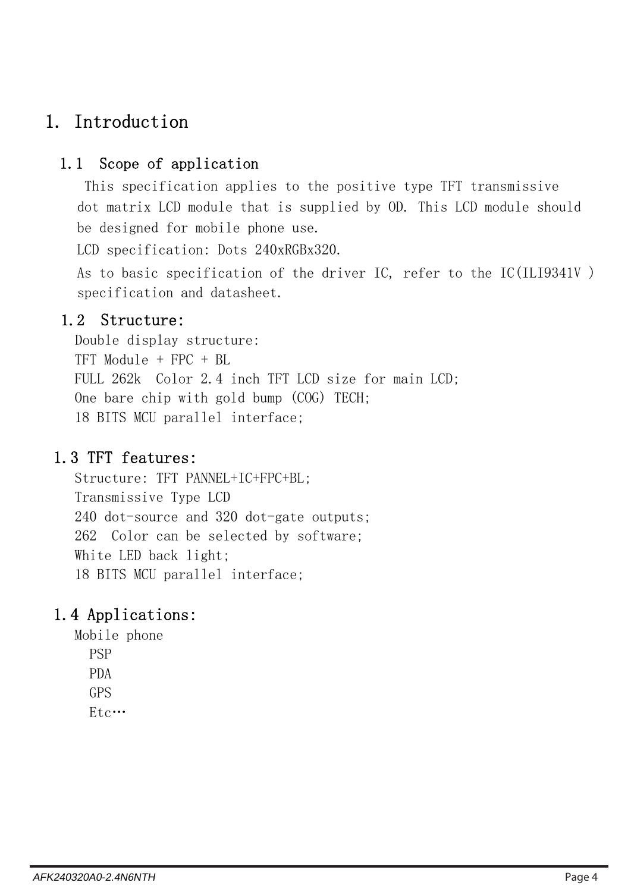### 1. Introduction

### 1.1 Scope of application

This specification applies to the positive type TFT transmissive dot matrix LCD module that is supplied by OD. This LCD module should be designed for mobile phone use.

LCD specification: Dots 240xRGBx320.

As to basic specification of the driver IC, refer to the IC(ILI9341V ) specification and datasheet.

### 1.2 Structure:

Double display structure: TFT Module + FPC + BL FULL 262k Color 2.4 inch TFT LCD size for main LCD; One bare chip with gold bump (COG) TECH; 18 BITS MCU parallel interface;

### 1.3 TFT features:

Structure: TFT PANNEL+IC+FPC+BL; Transmissive Type LCD 240 dot-source and 320 dot-gate outputs; 262 Color can be selected by software; White LED back light; 18 BITS MCU parallel interface;

### 1.4 Applications:

Mobile phone PSP PDA GPS Etc…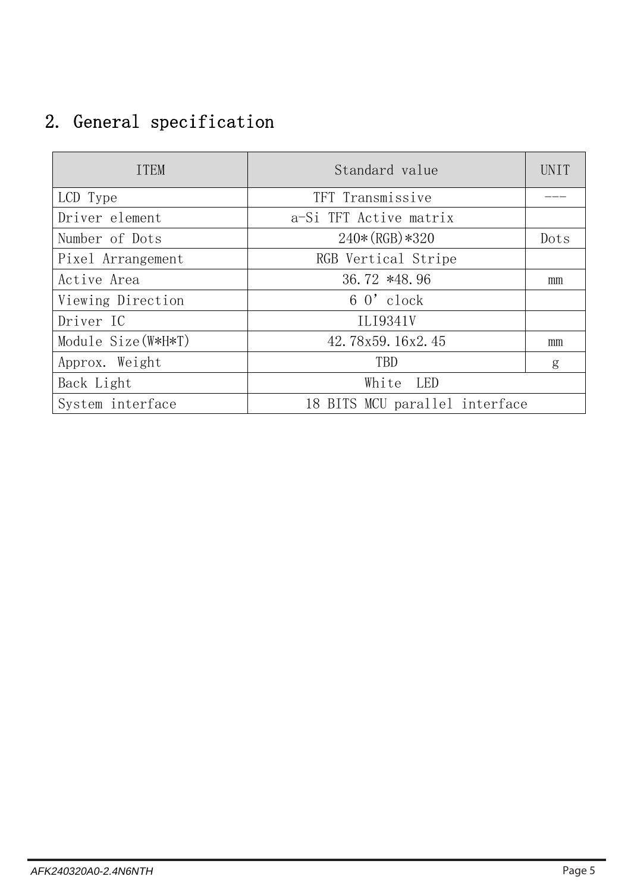## 2. General specification

| <b>ITEM</b>         | Standard value                 | <b>UNIT</b> |
|---------------------|--------------------------------|-------------|
| LCD Type            | TFT Transmissive               |             |
| Driver element      | a-Si TFT Active matrix         |             |
| Number of Dots      | $240*(RGB)*320$                | Dots        |
| Pixel Arrangement   | RGB Vertical Stripe            |             |
| Active Area         | 36.72 *48.96                   | mm          |
| Viewing Direction   | $60'$ clock                    |             |
| Driver IC           | ILI9341V                       |             |
| Module Size (W*H*T) | 42.78x59.16x2.45               | mm          |
| Approx. Weight      | <b>TBD</b>                     | g           |
| Back Light          | White LED                      |             |
| System interface    | 18 BITS MCU parallel interface |             |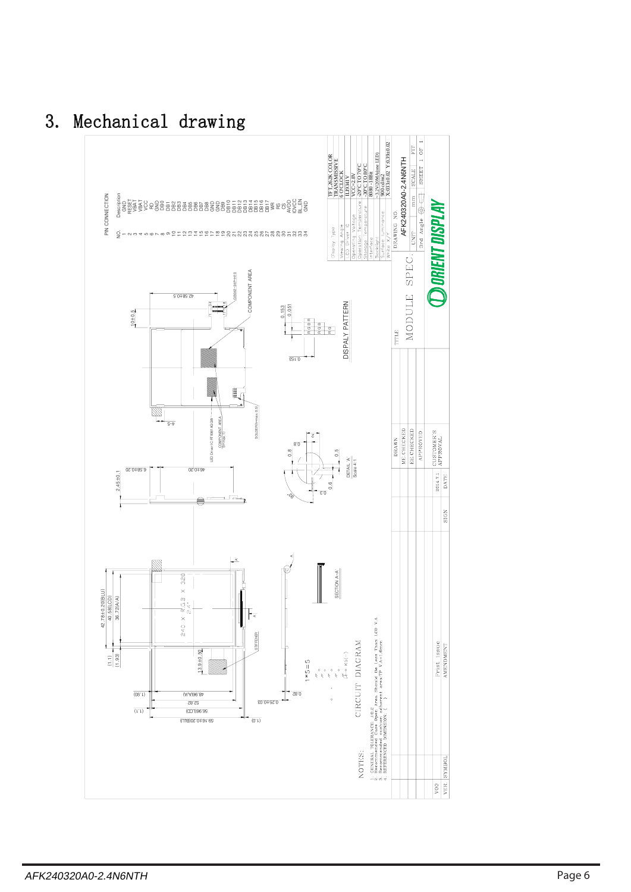

## 3. Mechanical drawing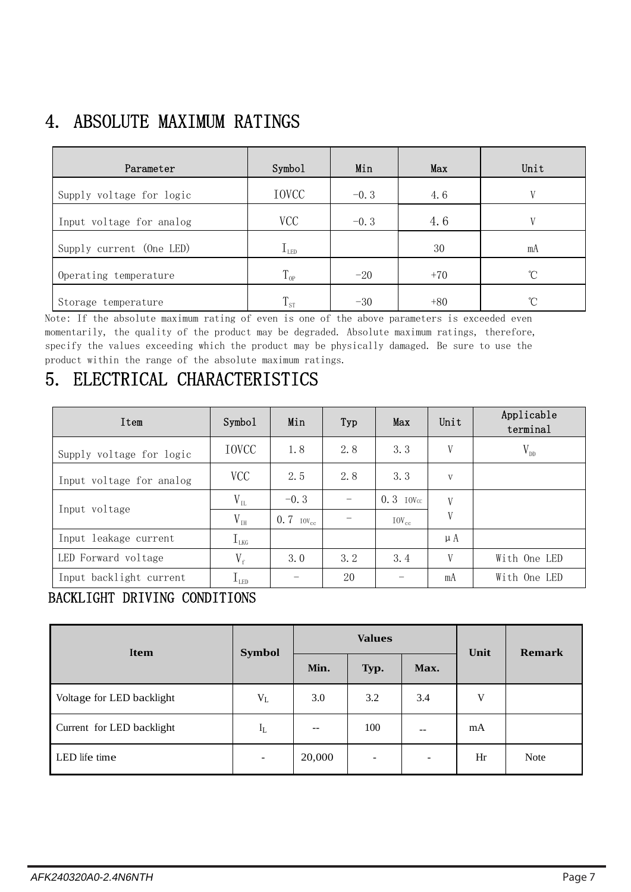## 4. ABSOLUTE MAXIMUM RATINGS

| Parameter                | Symbol              | Min    | Max   | Unit              |
|--------------------------|---------------------|--------|-------|-------------------|
| Supply voltage for logic | IOVCC               | $-0.3$ | 4.6   | V                 |
| Input voltage for analog | <b>VCC</b>          | $-0.3$ | 4.6   | V                 |
| Supply current (One LED) | $\rm I_{\tiny LED}$ |        | 30    | mA                |
| Operating temperature    | $T_{op}$            | $-20$  | $+70$ | °C                |
| Storage temperature      | $1_{\rm \,ST}$      | $-30$  | $+80$ | $^{\circ}$ $\cap$ |

Note: If the absolute maximum rating of even is one of the above parameters is exceeded even momentarily, the quality of the product may be degraded. Absolute maximum ratings, therefore, specify the values exceeding which the product may be physically damaged. Be sure to use the product within the range of the absolute maximum ratings.

## 5. ELECTRICAL CHARACTERISTICS

| Item                     | Symbol                          | Min                     | Typ | Max                | Unit | Applicable<br>terminal |
|--------------------------|---------------------------------|-------------------------|-----|--------------------|------|------------------------|
| Supply voltage for logic | <b>IOVCC</b>                    | 1.8                     | 2.8 | 3.3                | V    | $V_{DD}$               |
| Input voltage for analog | <b>VCC</b>                      | 2.5                     | 2.8 | 3.3                | V    |                        |
|                          | $V_{IL}$                        | $-0.3$                  |     | $0.3$ IOV $\alpha$ | V    |                        |
| Input voltage            | $V_{\rm \scriptscriptstyle IH}$ | $0.7$ IOV <sub>cc</sub> |     | $10V_{cc}$         | V    |                        |
| Input leakage current    | $I_{LKG}$                       |                         |     |                    | μA   |                        |
| LED Forward voltage      | $V_{f}$                         | 3.0                     | 3.2 | 3.4                | V    | With One LED           |
| Input backlight current  | $I_{LED}$                       |                         | 20  |                    | mA   | With One LED           |

### BACKLIGHT DRIVING CONDITIONS

| <b>Symbol</b><br>Item     |                |        | <b>Values</b>     | Unit                     | <b>Remark</b> |             |
|---------------------------|----------------|--------|-------------------|--------------------------|---------------|-------------|
|                           |                | Min.   | Typ.              | Max.                     |               |             |
| Voltage for LED backlight | $V_{L}$        | 3.0    | 3.2               | 3.4                      | V             |             |
| Current for LED backlight | $I_L$          | $- -$  | 100               | $ -$                     | mA            |             |
| LED life time             | $\overline{a}$ | 20,000 | $\qquad \qquad -$ | $\overline{\phantom{0}}$ | Hr            | <b>Note</b> |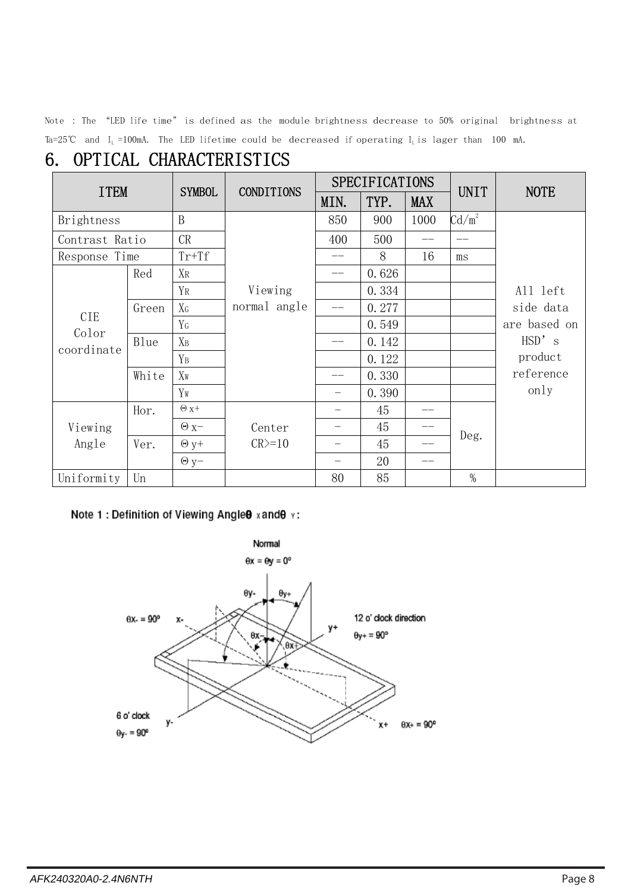Note : The "LED life time" is defined as the module brightness decrease to 50% original brightness at Ta=25℃ and I<sub>L</sub>=100mA. The LED lifetime could be decreased if operating I<sub>L</sub> is lager than 100 mA.

## 6. OPTICAL CHARACTERISTICS

| <b>ITEM</b>         |       | <b>SYMBOL</b>    | <b>CONDITIONS</b> |      | <b>SPECIFICATIONS</b> |            | <b>UNIT</b>     | <b>NOTE</b>  |
|---------------------|-------|------------------|-------------------|------|-----------------------|------------|-----------------|--------------|
|                     |       |                  |                   | MIN. | TYP.                  | <b>MAX</b> |                 |              |
| Brightness          |       | $\boldsymbol{B}$ |                   | 850  | 900                   | 1000       | $\text{Cd/m}^2$ |              |
| Contrast Ratio      |       | CR               |                   | 400  | 500                   |            | $-$             |              |
| Response Time       |       | $Tr+Tf$          |                   |      | 8                     | 16         | ms              |              |
|                     | Red   | XR               |                   |      | 0.626                 |            |                 |              |
|                     |       | YR               | Viewing           |      | 0.334                 |            |                 | All left     |
|                     | Green | $X_G$            | normal angle      |      | 0.277                 |            |                 | side data    |
| <b>CIE</b><br>Color |       | Y <sub>G</sub>   |                   |      | 0.549                 |            |                 | are based on |
| coordinate          | Blue  | $X_B$            |                   |      | 0.142                 |            |                 | HSD' s       |
|                     |       | $Y_B$            |                   |      | 0.122                 |            |                 | product      |
|                     | White | $X_{W}$          |                   |      | 0.330                 |            |                 | reference    |
|                     |       | Yw               |                   |      | 0.390                 |            |                 | only         |
|                     | Hor.  | $\Theta$ x+      |                   |      | 45                    | --         |                 |              |
| Viewing             |       | $\Theta$ x-      | Center            |      | 45                    | --         |                 |              |
| Angle               | Ver.  | $\Theta$ y+      | $CR \ge 10$       |      | 45                    | --         | Deg.            |              |
|                     |       | $\Theta$ y-      |                   |      | 20                    | --         |                 |              |
| Uniformity          | Un    |                  |                   | 80   | 85                    |            | $\%$            |              |

#### Note 1 : Definition of Viewing Angle 9 x and 9 v :

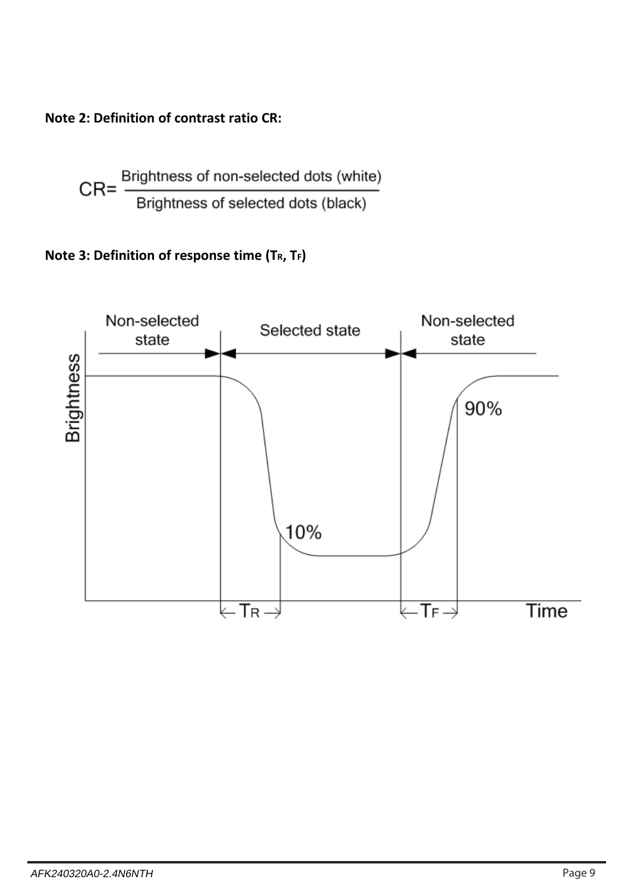**Note 2: Definition of contrast ratio CR:**

$$
CR = \frac{Brightness \space of \space non-selected \space dots \space (white)}{Brightness \space of \space selected \space dots \space (black)}
$$

### **Note 3: Definition of response time (TR, TF)**

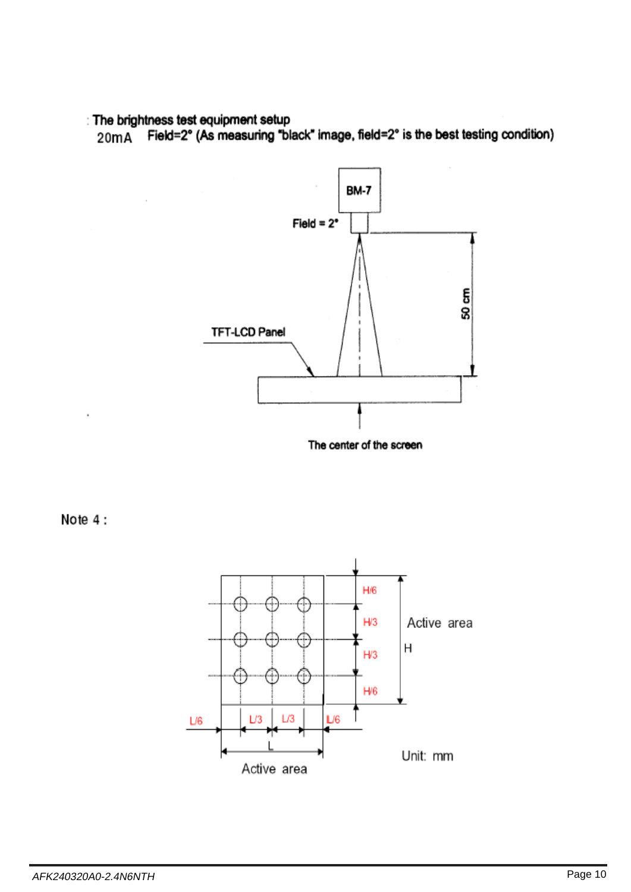#### : The brightness test equipment setup

 $\bar{z}$ 

Field=2° (As measuring "black" image, field=2° is the best testing condition)  $20mA$ 



Note 4:

×

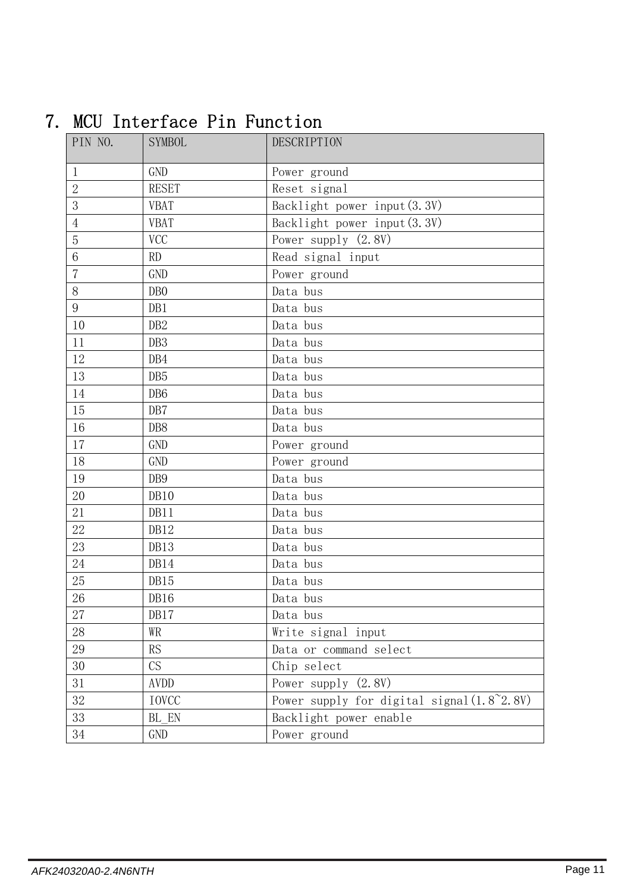| PIN NO.         | <b>SYMBOL</b>   | DESCRIPTION                                         |
|-----------------|-----------------|-----------------------------------------------------|
| 1               | <b>GND</b>      | Power ground                                        |
| $\overline{2}$  | <b>RESET</b>    | Reset signal                                        |
| 3               | <b>VBAT</b>     | Backlight power input (3.3V)                        |
| $\overline{4}$  | <b>VBAT</b>     | Backlight power input (3.3V)                        |
| 5               | <b>VCC</b>      | Power supply $(2.8V)$                               |
| $6\phantom{1}6$ | <b>RD</b>       | Read signal input                                   |
| $\overline{7}$  | <b>GND</b>      | Power ground                                        |
| 8               | DB <sub>0</sub> | Data bus                                            |
| 9               | DB1             | Data bus                                            |
| 10              | DB <sub>2</sub> | Data bus                                            |
| 11              | DB <sub>3</sub> | Data bus                                            |
| 12              | DB4             | Data bus                                            |
| 13              | DB <sub>5</sub> | Data bus                                            |
| 14              | DB <sub>6</sub> | Data bus                                            |
| 15              | DB7             | Data bus                                            |
| 16              | DB8             | Data bus                                            |
| 17              | <b>GND</b>      | Power ground                                        |
| 18              | <b>GND</b>      | Power ground                                        |
| 19              | DB9             | Data bus                                            |
| 20              | DB10            | Data bus                                            |
| 21              | DB11            | Data bus                                            |
| 22              | DB12            | Data bus                                            |
| 23              | DB13            | Data bus                                            |
| 24              | DB14            | Data bus                                            |
| 25              | DB15            | Data bus                                            |
| 26              | DB16            | Data bus                                            |
| 27              | DB17            | Data bus                                            |
| 28              | WR              | Write signal input                                  |
| 29              | RS              | Data or command select                              |
| 30              | CS              | Chip select                                         |
| 31              | AVDD            | Power supply (2.8V)                                 |
| 32              | <b>IOVCC</b>    | Power supply for digital signal $(1.8^{\circ}2.8V)$ |
| 33              | BL EN           | Backlight power enable                              |
| 34              | GND             | Power ground                                        |

## 7. MCU Interface Pin Function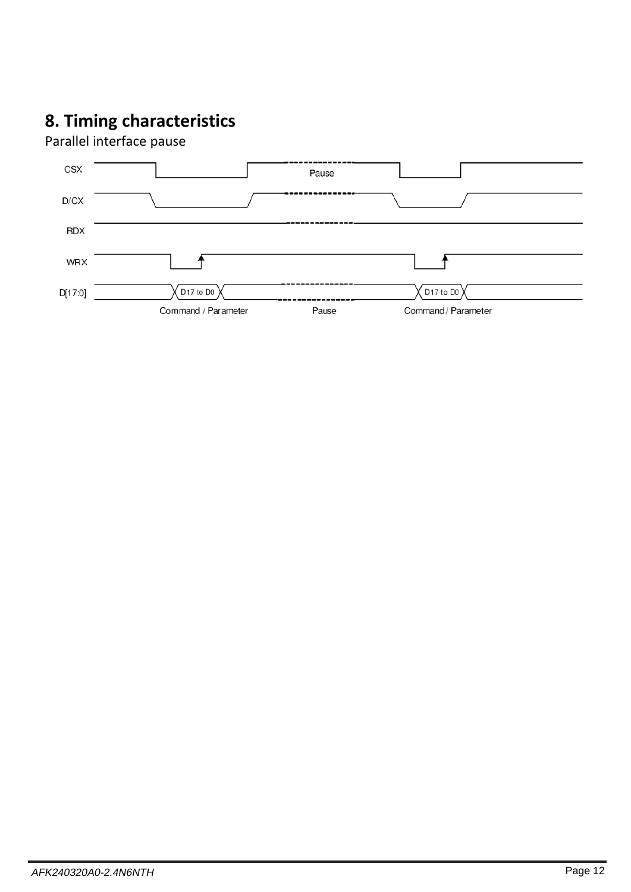## **8. Timing characteristics**

Parallel interface pause

| <b>CSX</b> |                                   | Pause |                     |  |
|------------|-----------------------------------|-------|---------------------|--|
| D/CX       |                                   |       |                     |  |
| <b>RDX</b> |                                   |       |                     |  |
| <b>WRX</b> |                                   |       |                     |  |
| D[17:0]    | D <sub>17</sub> to D <sub>0</sub> |       | $\sqrt{$ D17 to D0  |  |
|            | Command / Parameter               | Pause | Command / Parameter |  |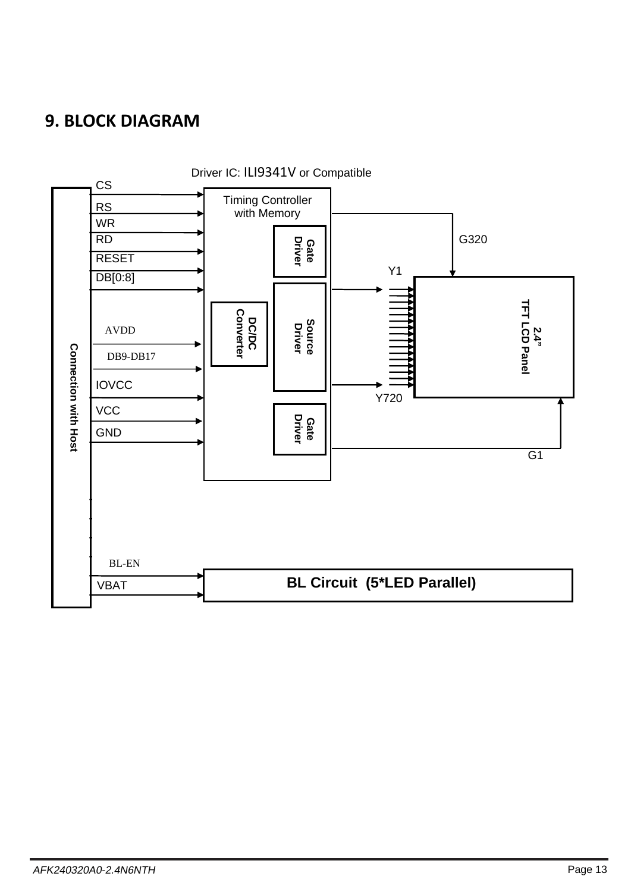### **9. BLOCK DIAGRAM**

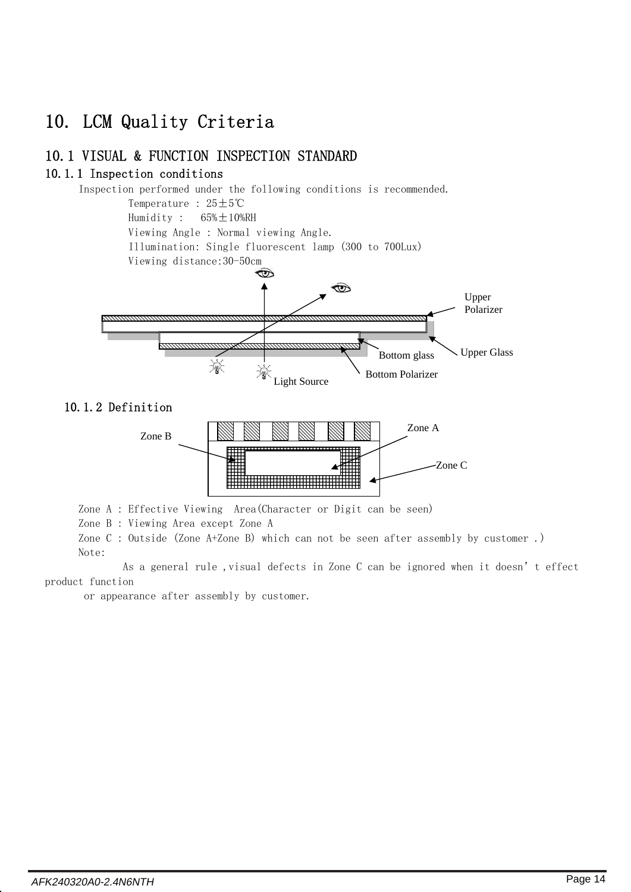## 10. LCM Quality Criteria

#### 10.1 VISUAL & FUNCTION INSPECTION STANDARD

#### 10.1.1 Inspection conditions



Zone A : Effective Viewing Area(Character or Digit can be seen)

Zone B : Viewing Area except Zone A

Zone C : Outside (Zone A+Zone B) which can not be seen after assembly by customer .) Note:

As a general rule , visual defects in Zone C can be ignored when it doesn't effect product function

or appearance after assembly by customer.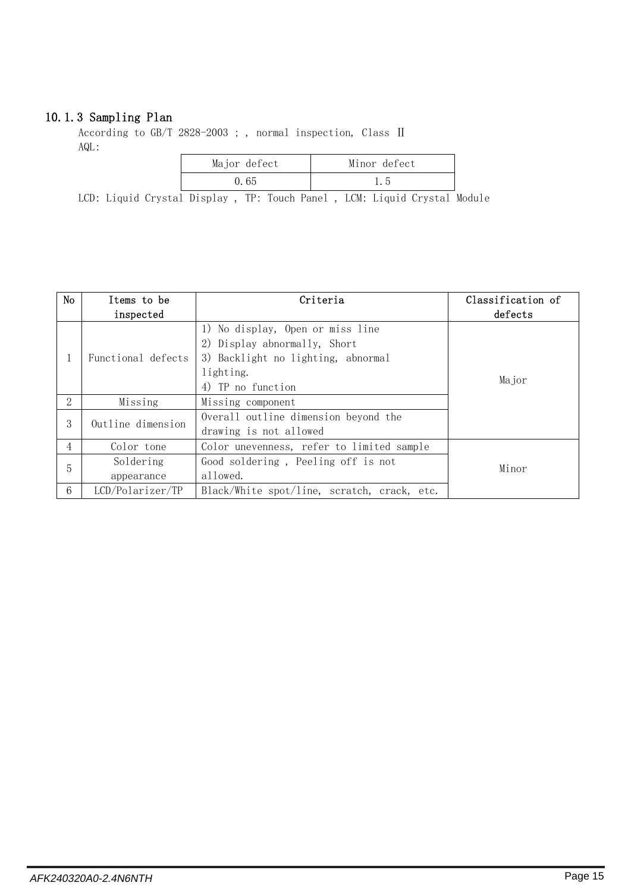#### 10.1.3 Sampling Plan

According to GB/T 2828-2003 ; , normal inspection, Class Ⅱ AQL:

| Major defect | Minor defect |
|--------------|--------------|
| 0. 65        | l. 5         |

LCD: Liquid Crystal Display, TP: Touch Panel, LCM: Liquid Crystal Module

| No | Items to be<br>inspected | Criteria                                                                                                                                 | Classification of<br>defects |
|----|--------------------------|------------------------------------------------------------------------------------------------------------------------------------------|------------------------------|
| 1  | Functional defects       | 1) No display, Open or miss line<br>2) Display abnormally, Short<br>3) Backlight no lighting, abnormal<br>lighting.<br>4) TP no function | Major                        |
| 2  | Missing                  | Missing component                                                                                                                        |                              |
| 3  | Outline dimension        | Overall outline dimension beyond the<br>drawing is not allowed                                                                           |                              |
| 4  | Color tone               | Color unevenness, refer to limited sample                                                                                                |                              |
| 5  | Soldering<br>appearance  | Good soldering, Peeling off is not<br>allowed.                                                                                           | Minor                        |
| 6  | LCD/Polarizer/TP         | Black/White spot/line, scratch, crack, etc.                                                                                              |                              |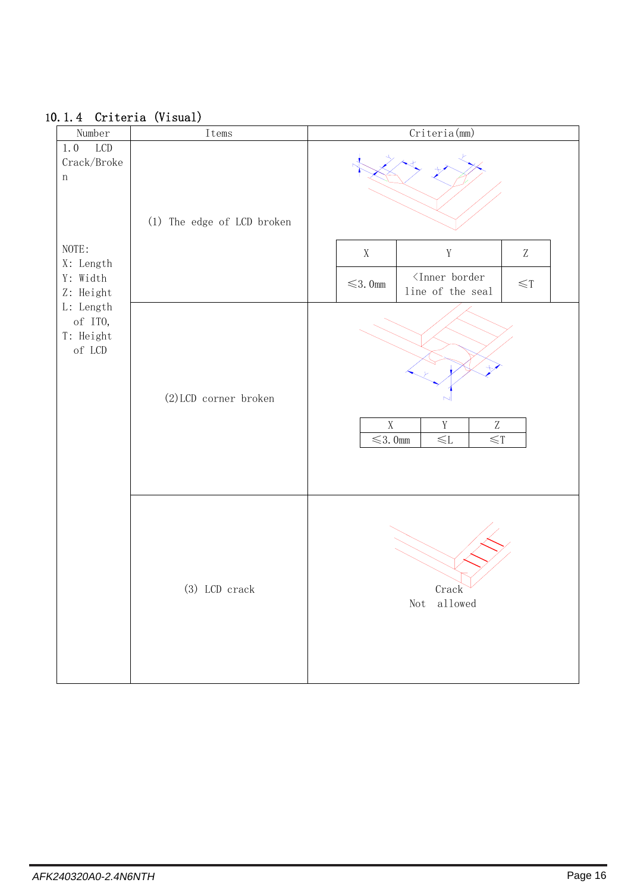| 10.1.4 Criteria (Visual)                                              |                            |                                                                                         |
|-----------------------------------------------------------------------|----------------------------|-----------------------------------------------------------------------------------------|
| Number                                                                | Items                      | Criteria (mm)                                                                           |
| $LCD$<br>1.0<br>$\operatorname{Crack}/\operatorname{Broke}$<br>$\,$ n | (1) The edge of LCD broken |                                                                                         |
| NOTE:<br>X: Length                                                    |                            | $\mathbf Y$<br>$\ensuremath{\mathbf{Z}}$<br>$\mathbf X$                                 |
| Y: Width<br>Z: Height                                                 |                            | $\langle$ Inner border<br>$\leq$ 3.0mm<br>$\leq$ T<br>line of the seal                  |
| L: Length<br>of ITO,<br>T: Height<br>of LCD                           | (2) LCD corner broken      | $\mathbf X$<br>$\mathbf Y$<br>Z<br>$\overline{\leq}3.0$ mm<br>$\leq$ T<br>$\leqslant$ L |
|                                                                       | (3) LCD crack              | Crack                                                                                   |

10.1.4 Criteria (Visual)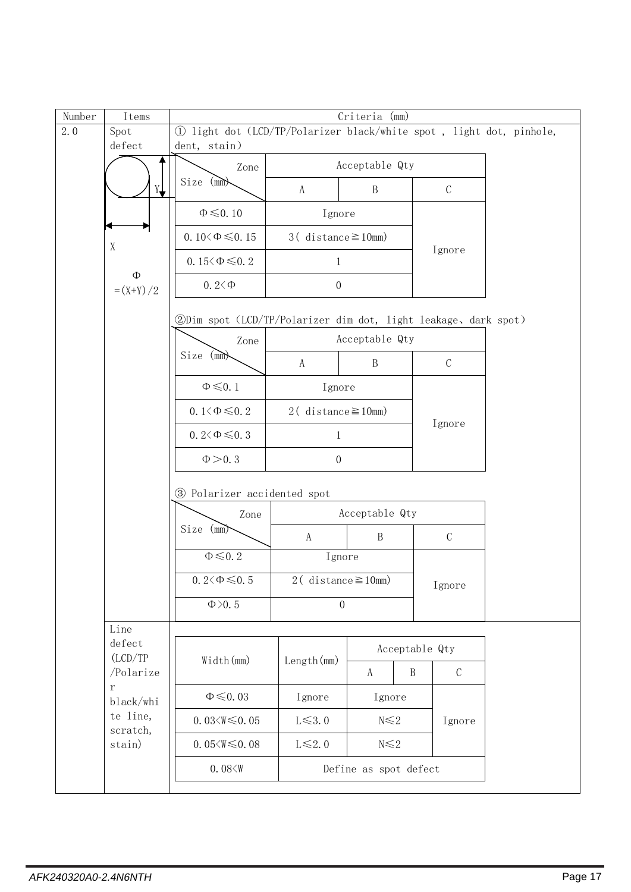| Number | Items                 | Criteria (mm)                                                  |                                                                      |                       |                               |  |
|--------|-----------------------|----------------------------------------------------------------|----------------------------------------------------------------------|-----------------------|-------------------------------|--|
| 2.0    | Spot                  |                                                                | 1) light dot (LCD/TP/Polarizer black/white spot, light dot, pinhole, |                       |                               |  |
|        | defect                | dent, stain)                                                   |                                                                      |                       |                               |  |
|        |                       | Zone                                                           |                                                                      | Acceptable Qty        |                               |  |
|        | Y                     | Size (mm)                                                      | A                                                                    | $\, {\bf B}$          | $\mathcal{C}$                 |  |
|        |                       | $\Phi \leq 0.10$                                               | Ignore                                                               |                       |                               |  |
|        | X                     | 0.10 $\&$ 0.15                                                 | $3$ (distance $\geq 10$ mm)                                          |                       | Ignore                        |  |
|        | $\Phi$                | 0.15 $\leq \Phi \leq 0.2$                                      | 1                                                                    |                       |                               |  |
|        | $=(X+Y)/2$            | $0.2 < \Phi$                                                   | $\boldsymbol{0}$                                                     |                       |                               |  |
|        |                       | 2Dim spot (LCD/TP/Polarizer dim dot, light leakage, dark spot) |                                                                      |                       |                               |  |
|        |                       | Zone                                                           |                                                                      | Acceptable Qty        |                               |  |
|        |                       | $Size$ (mm)                                                    | A                                                                    | $\, {\bf B}$          | $\mathbf C$                   |  |
|        |                       | $\Phi \leq 0.1$                                                | Ignore                                                               |                       |                               |  |
|        |                       | 0.1 $\leq \Phi \leq 0.2$                                       | 2 ( $distance \ge 10$ mm)                                            |                       | Ignore                        |  |
|        |                       | $0.2 \leq \Phi \leq 0.3$                                       | $\mathbf{1}$                                                         |                       |                               |  |
|        |                       | $\Phi > 0.3$                                                   | $\boldsymbol{0}$                                                     |                       |                               |  |
|        |                       | 3 Polarizer accidented spot                                    |                                                                      |                       |                               |  |
|        |                       | Zone                                                           |                                                                      | Acceptable Qty        |                               |  |
|        |                       | Size (mm)                                                      | A                                                                    | $\mathbf B$           | $\mathsf C$                   |  |
|        |                       | $\Phi\!\leqslant\!0.2$                                         | Ignore                                                               |                       |                               |  |
|        |                       | $0.2 \leq \Phi \leq 0.5$                                       | $2$ (distance $\geq$ 10mm)                                           |                       | Ignore                        |  |
|        |                       | $\Phi$ >0.5                                                    | $\overline{0}$                                                       |                       |                               |  |
|        | Line<br>defect        |                                                                |                                                                      |                       | Acceptable Qty                |  |
|        | (LCD/TP)<br>/Polarize | Width (mm)                                                     | Length(mm)                                                           | A                     | $\, {\bf B}$<br>$\mathcal{C}$ |  |
|        | $\rm r$               | $\Phi \leq 0.03$                                               | Ignore                                                               | Ignore                |                               |  |
|        | black/whi<br>te line, | $0.03 \leq W \leq 0.05$                                        | $L \leq 3.0$                                                         | $N \leq 2$            | Ignore                        |  |
|        | scratch,<br>stain)    | $0.05 \leq W \leq 0.08$                                        | $L \leq 2.0$                                                         | $N \leq 2$            |                               |  |
|        |                       | 0.08 < W                                                       |                                                                      | Define as spot defect |                               |  |
|        |                       |                                                                |                                                                      |                       |                               |  |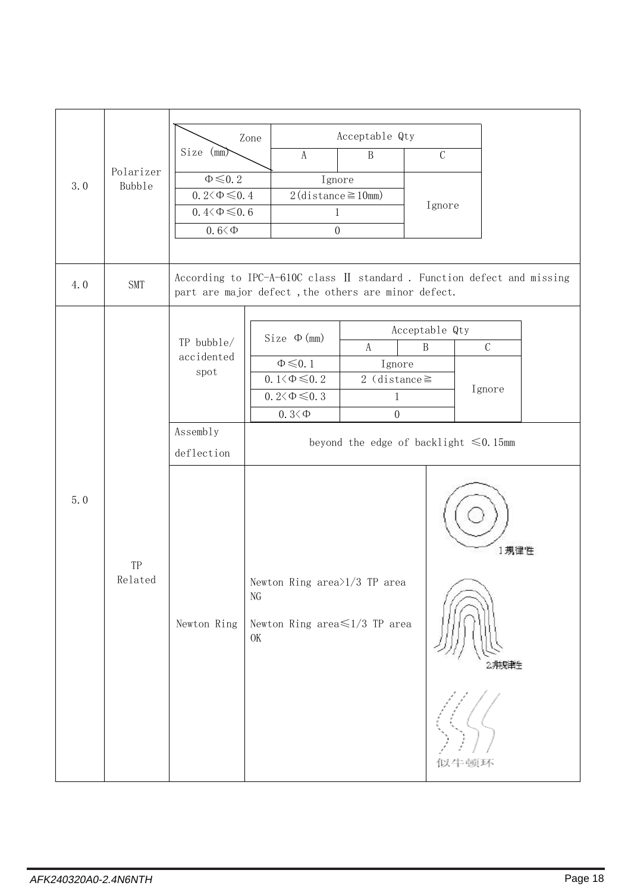|                                   |            |                                                                              | Zone                    |                                 | Acceptable Qty                              |                                |                                                                        |
|-----------------------------------|------------|------------------------------------------------------------------------------|-------------------------|---------------------------------|---------------------------------------------|--------------------------------|------------------------------------------------------------------------|
|                                   |            | Size (mm)                                                                    |                         | A                               | $\, {\bf B}$                                | $\mathcal{C}$                  |                                                                        |
| Polarizer<br>3.0<br><b>Bubble</b> |            | $\Phi \leq 0.2$                                                              |                         | Ignore                          |                                             |                                |                                                                        |
|                                   |            | $0.2 \leq \Phi \leq 0.4$                                                     |                         | $2$ (distance $\geq$ 10mm)      |                                             | Ignore                         |                                                                        |
|                                   |            | $0.4 \leq \Phi \leq 0.6$                                                     |                         | $\mathbf{1}$                    |                                             |                                |                                                                        |
|                                   |            | $0.6 < \Phi$                                                                 |                         | $\boldsymbol{0}$                |                                             |                                |                                                                        |
|                                   |            |                                                                              |                         |                                 |                                             |                                |                                                                        |
| 4.0                               | <b>SMT</b> | part are major defect, the others are minor defect.                          |                         |                                 |                                             |                                | According to IPC-A-610C class II standard. Function defect and missing |
|                                   |            |                                                                              |                         |                                 |                                             |                                |                                                                        |
|                                   |            | TP bubble/                                                                   |                         | $Size \Phi (mm)$                | A                                           | Acceptable Qty<br>$\, {\bf B}$ | $\mathbf C$                                                            |
|                                   |            | accidented                                                                   |                         | $\Phi \leq 0.1$                 | Ignore                                      |                                |                                                                        |
|                                   |            | $\operatorname*{spot}% \left( \mathcal{M}\right) \equiv\operatorname*{spot}$ |                         | 0.1 $\leq \Phi \leq 0.2$        | 2 (distance $\ge$                           |                                |                                                                        |
|                                   |            |                                                                              |                         | $0.2 \leq \Phi \leq 0.3$        | $\mathbf{1}$                                |                                | Ignore                                                                 |
|                                   |            |                                                                              |                         | $0.3<\Phi$                      | $\overline{0}$                              |                                |                                                                        |
|                                   |            | Assembly                                                                     |                         |                                 | beyond the edge of backlight $\leq 0.15$ mm |                                |                                                                        |
|                                   |            | deflection                                                                   |                         |                                 |                                             |                                |                                                                        |
| 5.0                               | TP         |                                                                              |                         |                                 |                                             |                                | 1規律性                                                                   |
|                                   | Related    | Newton Ring                                                                  | $\rm NG$<br>$\mbox{OK}$ | Newton Ring area $>1/3$ TP area | Newton Ring area $\leq 1/3$ TP area         |                                |                                                                        |
|                                   |            |                                                                              |                         |                                 |                                             |                                | 似牛顿环                                                                   |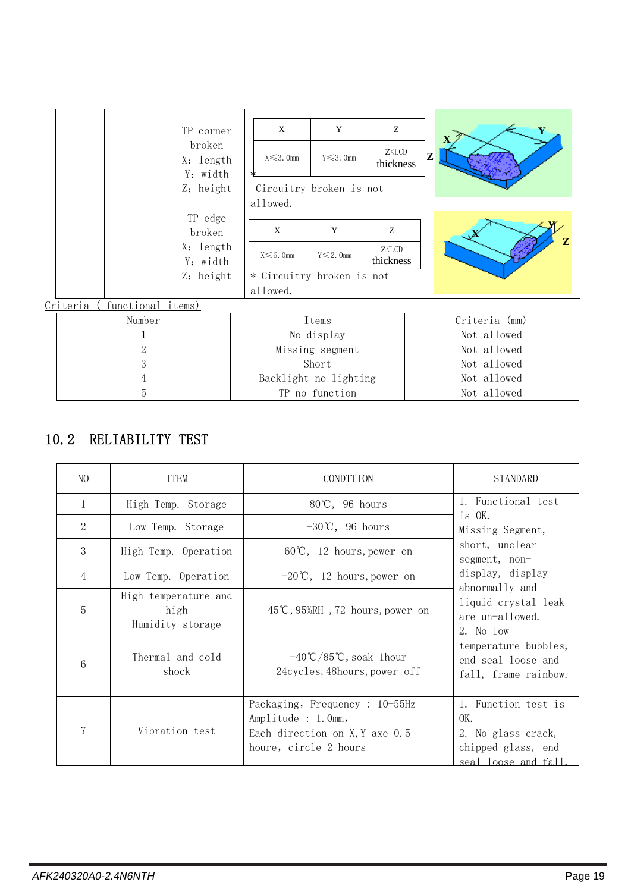|                               | TP corner                       | X                | Y                         | Z                              |    | Y             |
|-------------------------------|---------------------------------|------------------|---------------------------|--------------------------------|----|---------------|
|                               | broken<br>X: length<br>Y: width | $X \leq 3$ . Omm | $Y \leq 3$ . Omm          | $Z \triangle LCD$<br>thickness | 7. |               |
|                               | Z: height                       | allowed.         | Circuitry broken is not   |                                |    |               |
|                               | TP edge                         |                  |                           |                                |    |               |
|                               | broken                          | X                | Y                         | Z                              |    |               |
|                               | X: length<br>Y: width           | $X \leq 6$ . Omm | $Y \leq 2$ . Omm          | $Z \triangle LCD$<br>thickness |    | Z             |
|                               | Z: height                       |                  | * Circuitry broken is not |                                |    |               |
|                               |                                 | allowed.         |                           |                                |    |               |
| functional items)<br>Criteria |                                 |                  |                           |                                |    |               |
| Number                        |                                 |                  | Items                     |                                |    | Criteria (mm) |
|                               |                                 |                  | No display                |                                |    | Not allowed   |
| 2                             |                                 |                  | Missing segment           |                                |    | Not allowed   |
| 3                             |                                 |                  | Short                     |                                |    | Not allowed   |
| 4                             |                                 |                  | Backlight no lighting     |                                |    | Not allowed   |
| 5                             |                                 |                  | TP no function            |                                |    | Not allowed   |

### 10.2 RELIABILITY TEST

| N <sub>O</sub> | <b>ITEM</b>                                      | <b>CONDTTION</b>                                                                                                | <b>STANDARD</b>                                                                               |
|----------------|--------------------------------------------------|-----------------------------------------------------------------------------------------------------------------|-----------------------------------------------------------------------------------------------|
| $\mathbf{1}$   | High Temp. Storage                               | $80^{\circ}$ C, 96 hours                                                                                        | 1. Functional test                                                                            |
| 2              | Low Temp. Storage                                | $-30^{\circ}$ C, 96 hours                                                                                       | is OK.<br>Missing Segment,                                                                    |
| 3              | High Temp. Operation                             | $60^{\circ}$ C, 12 hours, power on                                                                              | short, unclear<br>segment, non-                                                               |
| 4              | Low Temp. Operation                              | $-20^{\circ}\text{C}$ , 12 hours, power on                                                                      | display, display                                                                              |
| 5              | High temperature and<br>high<br>Humidity storage | $45^{\circ}$ C, $95\%$ RH, $72$ hours, power on                                                                 | abnormally and<br>liquid crystal leak<br>are un-allowed.<br>2. No low                         |
| 6              | Thermal and cold<br>shock                        | $-40^{\circ}$ C/85 $^{\circ}$ C, soak 1 hour<br>24cycles, 48hours, power off                                    | temperature bubbles,<br>end seal loose and<br>fall, frame rainbow.                            |
|                | Vibration test                                   | Packaging, Frequency : 10-55Hz<br>Amplitude : 1.0mm,<br>Each direction on X, Y axe 0.5<br>houre, circle 2 hours | 1. Function test is<br>OK.<br>2. No glass crack,<br>chipped glass, end<br>seal loose and fall |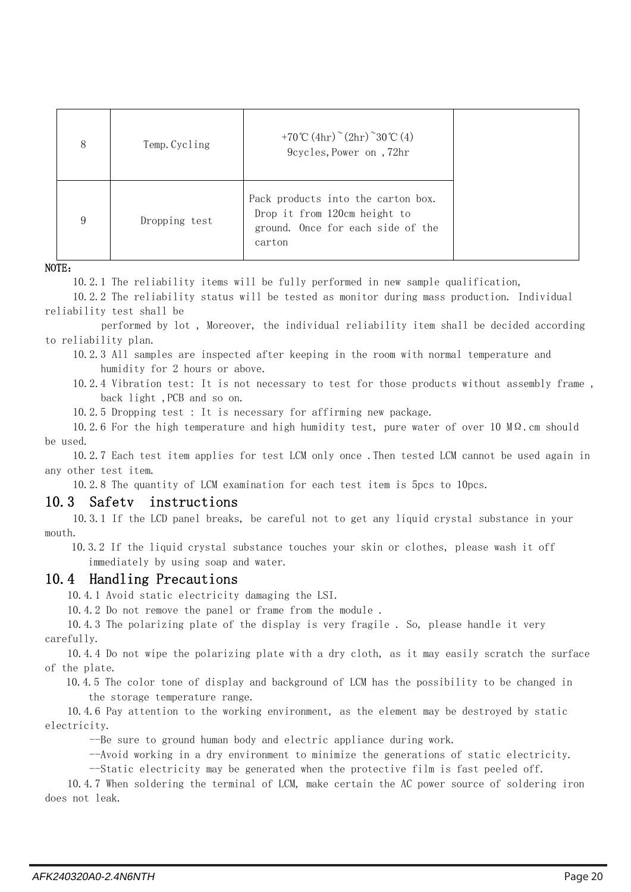| 8 | Temp. Cycling | +70°C $(4hr)^{\sim} (2hr)^{\sim} 30$ °C $(4)$<br>9cycles, Power on , 72hr                                         |  |
|---|---------------|-------------------------------------------------------------------------------------------------------------------|--|
| 9 | Dropping test | Pack products into the carton box.<br>Drop it from 120cm height to<br>ground. Once for each side of the<br>carton |  |

NOTE:

10.2.1 The reliability items will be fully performed in new sample qualification,

10.2.2 The reliability status will be tested as monitor during mass production. Individual reliability test shall be

performed by lot , Moreover, the individual reliability item shall be decided according to reliability plan.

10.2.3 All samples are inspected after keeping in the room with normal temperature and humidity for 2 hours or above.

10.2.4 Vibration test: It is not necessary to test for those products without assembly frame , back light ,PCB and so on.

10.2.5 Dropping test : It is necessary for affirming new package.

10.2.6 For the high temperature and high humidity test, pure water of over 10 MΩ.cm should be used.

10.2.7 Each test item applies for test LCM only once .Then tested LCM cannot be used again in any other test item.

10.2.8 The quantity of LCM examination for each test item is 5pcs to 10pcs.

#### 10.3 Safetv instructions

10.3.1 If the LCD panel breaks, be careful not to get any liquid crystal substance in your mouth.

10.3.2 If the liquid crystal substance touches your skin or clothes, please wash it off immediately by using soap and water.

#### 10.4 Handling Precautions

10.4.1 Avoid static electricity damaging the LSI.

10.4.2 Do not remove the panel or frame from the module .

10.4.3 The polarizing plate of the display is very fragile . So, please handle it very carefully.

10.4.4 Do not wipe the polarizing plate with a dry cloth, as it may easily scratch the surface of the plate.

10.4.5 The color tone of display and background of LCM has the possibility to be changed in the storage temperature range.

10.4.6 Pay attention to the working environment, as the element may be destroyed by static electricity.

--Be sure to ground human body and electric appliance during work.

--Avoid working in a dry environment to minimize the generations of static electricity.

--Static electricity may be generated when the protective film is fast peeled off.

10.4.7 When soldering the terminal of LCM, make certain the AC power source of soldering iron does not leak.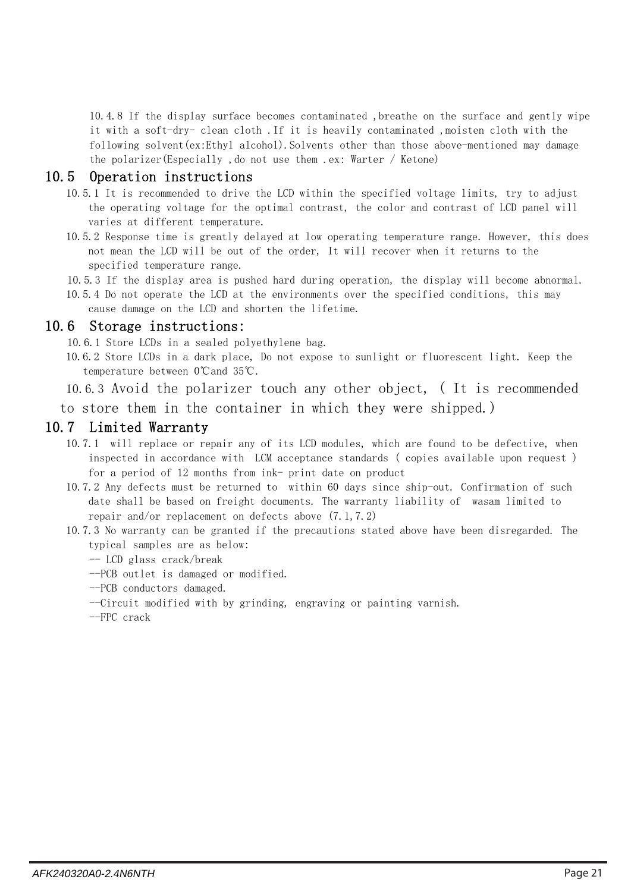10.4.8 If the display surface becomes contaminated, breathe on the surface and gently wipe it with a soft-dry- clean cloth .If it is heavily contaminated ,moisten cloth with the following solvent(ex:Ethyl alcohol). Solvents other than those above-mentioned may damage the polarizer(Especially ,do not use them .ex: Warter / Ketone)

#### 10.5 Operation instructions

- 10.5.1 It is recommended to drive the LCD within the specified voltage limits, try to adjust the operating voltage for the optimal contrast, the color and contrast of LCD panel will varies at different temperature.
- 10.5.2 Response time is greatly delayed at low operating temperature range. However, this does not mean the LCD will be out of the order, It will recover when it returns to the specified temperature range.
- 10.5.3 If the display area is pushed hard during operation, the display will become abnormal.
- 10.5.4 Do not operate the LCD at the environments over the specified conditions, this may cause damage on the LCD and shorten the lifetime.

#### 10.6 Storage instructions:

10.6.1 Store LCDs in a sealed polyethylene bag.

10.6.2 Store LCDs in a dark place, Do not expose to sunlight or fluorescent light. Keep the temperature between 0℃and 35℃.

10.6.3 Avoid the polarizer touch any other object, ( It is recommended

to store them in the container in which they were shipped.)

#### 10.7 Limited Warranty

- 10.7.1 will replace or repair any of its LCD modules, which are found to be defective, when inspected in accordance with LCM acceptance standards ( copies available upon request ) for a period of 12 months from ink- print date on product
- 10.7.2 Any defects must be returned to within 60 days since ship-out. Confirmation of such date shall be based on freight documents. The warranty liability of wasam limited to repair and/or replacement on defects above (7.1,7.2)
- 10.7.3 No warranty can be granted if the precautions stated above have been disregarded. The typical samples are as below:
	- -- LCD glass crack/break
	- --PCB outlet is damaged or modified.
	- --PCB conductors damaged.
	- --Circuit modified with by grinding, engraving or painting varnish.

--FPC crack